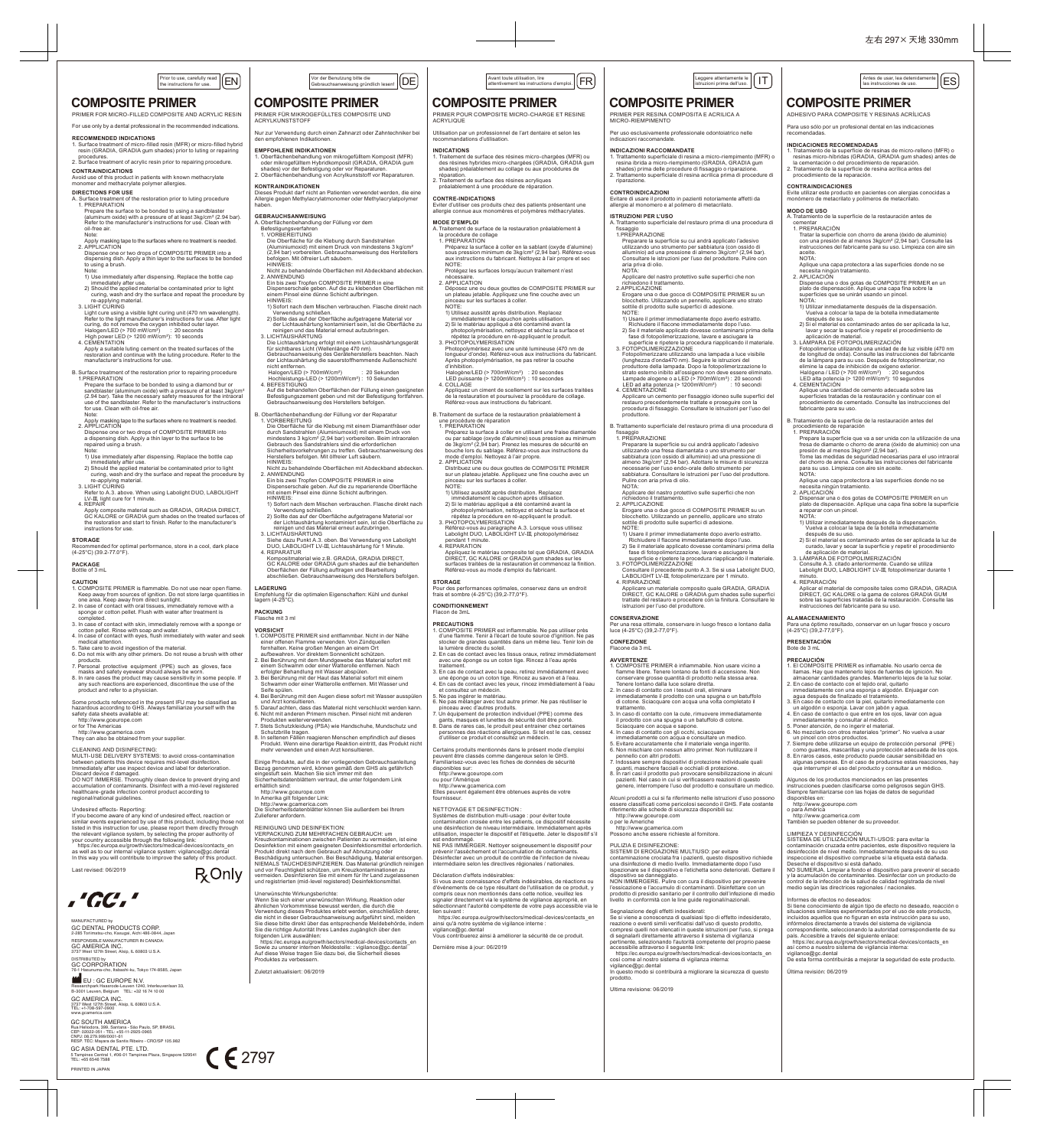# Leggere attentamente le  $\lfloor |\!| \mathsf{T} \rfloor$  esteroidamente le europe de usar, lea detenidamente  $\lfloor \mathsf{ES} \rfloor$

### ADHESIVO PARA COMPOSITE Y RESINAS ACRÍLICAS **COMPOSITE PRIMER**

Para uso sólo por un profesional dental en las indicaciones recomendadas.

# 1. Trattamento superficiale di resina a micro-riempimento (MFR) o<br>resina ibrida a micro-riempimento (GRADIA, GRADIA gum<br>shades) prima delle procedure di fissaggio o riparazione.<br>2. Trattamento superficiale di resina acrili **INDICACIONES RECOMENDADAS**

PRIMER PER RESINA COMPOSITA E ACRILICA A MICRO-RIEMPIMENTO Per uso esclusivamente professionale odontoiatrico nelle

**COMPOSITE PRIMER**

Evitare di usare il prodotto in pazienti notoriamente affetti da allergie al monomero e al polimero di metacrilato.

fissaggio 1.PREPARAZIONE Preparare la superficie su cui andrà applicato l'adesivo utilizzando uno strumento per sabbiatura (con ossido di alluminio) ad una pressione di almeno 3kg/cm² (2,94 bar). Consultare le istruzioni per l'uso del produttore. Pulire con

 Applicare del nastro protettivo sulle superfici che non richiedono il trattamento. 2.APPLICAZIONE Erogare una o due gocce di COMPOSITE PRIMER su un blocchetto. Utilizzando un pennello, applicare uno strato sottile di prodotto sulle superfici di adesione. NOTE: 1) Usare il primer immediatamente dopo averlo estratto.<br>Richiudere il flacone immediatamente dopo l'uso. Richiudere il flacone immediatamente dopo l'uso.<br>2) Se il materiale applicato dovese contaminarsi prima della<br>fase di fotopolimerizzazione, lavare e asciugare la<br>superficie e ripetere la procedura riapplicando il materiale

Fotopolimerizzare utilizzando una lampada a luce visibile<br>(lunghezza d'onda470 nm). Seguire le istruzioni del<br>produttore della lampada. Dopo la fotopolimerizzazione lo<br>strato esterno inibito all'ossigeno non deve essere e

4. CEMENTAZIONE Applicare un cemento per fissaggio idoneo sulle superfici del restauro precedentemente trattate e proseguire con la procedura di fissaggio. Consultare le istruzioni per l'uso del produttore.

B. Trattamento superficiale del restauro prima di una procedura di fissaggio 1. PREPARAZIONE Preparare la superficie su cui andrà applicato l'adesivo utilizzando una fresa diamantata o uno strumento per sabbiatura (con ossido di alluminio) ad una pressione di almeno 3kg/cm² (2,94 bar). Adottare le misure di sicurezza necessarie per l'uso endo-orale dello strumento per sabbiatura. Consultare le istruzioni per l'uso del produttore. Pulire con aria priva di olio. NOTA: wo ny.<br>Applicare del nastro protettivo sulle superfici che nor<br>richiedono il trattamento

Erogare una o due gocce di COMPOSITE PRIMER su un blocchetto. Utilizzando un pennello, applicare uno strato sottile di prodotto sulle superfici di adesione. NOTE: 1) Usare il primer immediatamente dopo averlo estratto.

Richiudere il flacone immediatamente dopo l'uso.<br>2) Se il materiale applicato dovesse contaminarsi prima della<br>fase di fotopolimerizzazione, lavare e asciugare la<br>5) superficie e ripetere la procedura riapplicando il mater

Applicare un materiale composito quale GRADIA, GRADIA DIRECT, GC KALORE o GRADIA gum shades sulle superfici trattate del restauro e procedere con la finitura. Consultare le istruzioni per l'uso del produttore.

Per una resa ottimale, conservare in luogo fresco e lontano dalla luce (4-25°C) (39,2-77,0°F).

**AVVERTENZE** 1. COMPOSITE PRIMER è infiammabile. Non usare vicino a fiamme libere. Tenere lontano da fonti di accensione. Non conservare grosse quantità di prodotto nella stessa area. Tenere lontano dalla luce solare diretta. 2. In caso di contatto con i tessuti orali, eliminare immediatamente il prodotto con una spugna o un batuffolo di cotone. Sciacquare con acqua una volta completato il

tratamento.<br>
2. In caso di contatto con la cute, rimuovere immediatamente<br>
il prodotto con una spugna o un batuffolo di cotone.<br>
Sciacquare con acqua e sapone.<br>
4. In caso di contatto con gli occhi, sciacquare<br>
immediatame

pennello con altri prodotti.<br>7. Indossare sempre dispositivi di protezione individuale quali<br>guanti, maschere facciali e occhiali di protezione.<br>8. In rari casi il prodotto può provocare sensibilizzazione in alcuni<br>pazient

Alcuni prodotti a cui si fa riferimento nelle istruzioni d'uso possono essere classificati come pericolosi secondo il GHS. Fate costante<br>- inferimento alle schede di sicurezza disponibili su:<br>- http://www.gceurope.com<br>o per le Americhe

PULIZIA E DISINFEZIONE:<br>SISTEM DI EROGAZIONE MULTIUSO: per evitare<br>contaminazione crociata fra i pazienti, questo dispositivo richiede<br>una disinfezione di medio livello. Immediatamente dopo l'uso<br>ispezionare se il disposit

dispositivo se danneggiato.<br>NON IMMERGERE. Pulire con cura il dispositivo per prevenire<br>l'essicazione e l'accumulo di contaminanti. Disinfettare con un<br>prodotto di presidio sanitario per il controllo dell'infezione di medi

Segnalazione degli effetti indesiderati:<br>Se si viene a conoscenza di qualsiasi tipo di effetto indesiderato,<br>reazione o eventi simili verificatisi dall'uso di questo prodotto,<br>compresi quelli non elencati in queste istruzi

pertinente, selezionando l'autorità competente del proprio paese<br>accessibile attraverso il seguente link:<br>chtps://ec.europa.eu/growth/sectors/medical-devices/contacts\_en<br>così come al nostro sistema di vigilanza interna: vigilance@gc.dental In questo modo si contribuirà a migliorare la sicurezza di questo prodotto.

 http://www.gcamerica.com Possono anche essere richieste al fornitore.

Ultima revisione: 06/2019

richiedono il trattamento. 2. APPLICAZIONE

4. RIPARAZIONE

**CONSERVAZIONE**

**CONFEZIONE** Flacone da 3 mL .<br>A. del restauro prima di una procedura di

indicazioni raccomandate. **INDICAZIONI RACCOMANDATE**

**ISTRUZIONI PER L'USO**

aria priva di olio. NOTA:

riparazione. **CONTROINDICAZIONI**

Avant toute utilisation, lire<br>
attentivement les instructions d'emploi. **IFR** attentivement les instruzioni prima dell'uso. **IT** 

1. Tratamiento de la superficie de resinas de micro-relleno (MFR) o<br>resinas micro-híbridas (GRADIA, GRADIA gum shades) antes de<br>la cementación o del procedimiento de reparación.<br>2. Tratamiento de la superficie de resina ac procedimiento de la reparaci

### **CONTRAINDICACIONES**

Evite utilizar este producto en pacientes con alergias conocidas a monómero de metacrilato y polímeros de metacrilato.

**MODO DE USO** A. Tratamiento de la superficie de la restauración antes de

cementar 1. PREPARACIÓN Tratar la superficie con chorro de arena (óxido de aluminio) con una presión de al menos 3kg/cm² (2,94 bar). Consulte las instrucciones del fabricante para su uso. Limpieza con aire sin aceite.

 NOTA: Aplique una capa protectora a las superficies donde no se necesita ningún tratamiento. 2. APLICACIÓN Dispense una o dos gotas de COMPOSITE PRIMER en un plato de dispensación. Aplique una capa fina sobre la superficies que se unirán usando un pincel.

NOTA: 1) Utilizar inmediatamente después de la dispensación. Vuelva a colocar la tapa de la botella inmediatamente

después de su uso. 2) Si el material es contaminado antes de ser aplicada la luz, lavar y secar la superficie y repetir el procedimiento de

aplicación de material.<br>
3. LÁMPARA DE FOTOPOLIMERIZACIÓN<br>
Fotopolimerice utilizando una unidad de de luz visible (470 nm<br>
de longitur de onda). Consulte las instrucciones del fabricante<br>
de la lámpara para su uso. Después

Aplique una cantidad de cemento adecuada sobre las superficies tratadas de la restauración y continuar con el procedimiento de cementado. Consulte las instrucciones del fabricante para su uso.

B. Tratamiento de la superficie de la restauración antes del procedimiento de reparación 1. PREPARACIÓN Prepare la superficie que va a ser unida con la utilización de una

fresa de diamante o chorro de arena (óxido de aluminio) con una<br>presión de al menos 3kg/cm² (2,94 bar).<br>Tome las medidas de seguridad necesarias para el uso intraoral<br>del chorro de arena. Consulte las instrucciones del fab

NOTA:<br>Aplique una capa protectora a las superficies donde no se<br>necesita ningún tratamiento

Aplique una capa protectora a las superficies donde no se<br>necesita ningún tratamiento.<br>2. APLICACIÓN<br>Dispensar una o dos gotas de COMPOSITE PRIMER en un<br>plato de dispensación. Aplique una capa fina sobre la superficie<br>a re

2) Si el material es contaminado antes de ser aplicada la luz de

curado, lavar y secar la superficie y repetir el procedi de aplicación de material.<br>3. LÁMPARA DE FOTOPOLIMERIZACIÓN

3. LÁMPARA DE FOTOPOLIMERIZACIÓN Consulte A.3. citado anteriormente. Cuando se utiliza Labolight DUO, LABOLIGHT LV-III, fotopolimerizar durante 1 minuto. 4. REPARACIÓN

Aplicar el material de composite tales como GRADIA, GRADIA DIRECT, GC KALORE o la gama de colores GRADIA GUM sobre las superficies tratadas de la restauración. Consulte las instrucciones del fabricante para su uso.

**ALAMACENAMIENTO**<br>Para una óptimo resultado, conservar en un lugar fresco y oscuro<br>(4-25°C) (39,2-77,0°F).

#### **PRESENTACIÓN** Bote de 3 mL

**PRECAUCIÓN** 1. El COMPOSITE PRIMER es inflamable. No usarlo cerca de llamas. Hay que mantenerlo lejos de fuentes de ignición. No almacenar cantidades grandes. Mantenerlo lejos de la luz solar.

2. En caso de contacto con el tejido oral, quitarlo<br>
algodón. Enjuagar con agua después de finalizado el tratamiento.<br>
agua después de finalizado el tratamiento.<br>
3. En caso de contacto con la piel, quitarlo inmediatamente

- 
- 5. Poner atención, de no ingerir el material.<br>6. No mezclarlo con otros materiales "primer". No vuelva a usar<br>com pincel con otros productos.<br>7. Siempre debe utilizarse un equipo de protección personal (PPE)<br>como guantes, algunas personas. En el caso de producirse estas reacciones, hay que interrumpir el uso del producto y consultar a un médico.

**Algunos de los productos mencionados en las presentes<br>Instrucciones pueden clasificarse como peligrosos según GHS** instrucciones pueden clasificarse como peligrosos según GHS. Siempre familiarizarse con las hojas de datos de seguridad

disponibles en: http://www.gceurope.com o para América

http://www.gcamerica.com También se pueden obtener de su proveedor.

LIMPIEZA Y DESINFECCIÓN MULTI-USOS: para evitar la<br>SISTEMA DE UTILIZACIÓN MULTI-USOS: para evitar la<br>contaminación cruzada entre pacientes, este dispositivo requiere la<br>desinfección de invel medio. Inmediatmente después de

Informes de efectos no deseados:<br>Si tiene concimiento de algún tipo de efecto no deseado, reacción o<br>situaciones similares experimentados por el uso de este producto,<br>intuíudos aquellos que no figuran en esta instrucción p https://ec.europa.eu/growth/sectors/medical-devices/contacts\_en así como a nuestro sistema de vigilancia interna: vigilance@gc.dental De esta forma contribuirás a mejorar la seguridad de este producto.

Última revisión: 06/2019

Prior to use, carefully read  $\widehat{EN}$ 

## **COMPOSITE PRIMER**

PRIMER FOR MICRO-FILLED COMPOSITE AND ACRYLIC RESIN For use only by a dental professional in the recommended indications.

- **RECOMMENDED INDICATIONS**<br>1. Surface treatment of micro-filled resin (MFR) or micro-filled hybrid<br>resin (GRADIA, GRADIA gum shades) prior to luting or repairing
- procedures. 2. Surface treatment of acrylic resin prior to repairing procedure.
- 
- **CONTRAINDICATIONS** Avoid use of this product in patients with known methacrylate monomer and methacrylate polymer allergies.
- **DIRECTIONS FOR USE** A. Surface treatment of the restoration prior to luting procedure
- 1. PREPARATION<br>Prepare the surface to be bonded to using a sandblaster<br>(aluminum oxide) with a pressure of at least 3kg/cm² (2.94 bar).<br>Refer to the manufacturer's instructions for use. Clean with oil-free air.
- Note: Apply masking tape to the surfaces where no treatment is needed. 2. APPLICATION Dispense one or two drops of COMPOSITE PRIMER into a dispensing dish. Apply a thin layer to the surfaces to be bonded to using a brush.
- Note: 1) Use immediately after dispensing. Replace the bottle cap immediately after use. 2) Should the applied material be contaminated prior to light curing, wash and dry the surface and repeat the procedure by
- re-applying material.<br>3. LIGHT CURING 3. LIGHT CURING Light cure using a visible light curing unit (470 nm wavelength). Refer to the light manufacturer's instructions for use. After light curing, do not remove the oxygen inhibited outer layer.
- Halogen/LED (> 700 mW/cm²) : 20 seconds High power LED (> 1200 mW/cm²): 10 seconds 4. CEMENTATION
- Apply a suitable luting cement on the treated surfaces of the restoration and continue with the luting procedure. Refer to the manufacturer's instructions for use.
- B. Surface treatment of the restoration prior to repairing procedure<br>1 PREPARATION 1.PREPARATION Prepare the surface to be bonded to using a diamond bur or sandblaster (aluminum oxide) with a pressure of at least 3kg/cm² (2.94 bar). Take the necessary safety measures for the intraoral use of the sandblaster. Refer to the manufacturer's instructions for use. Clean with oil-free air.
- Note: Apply masking tape to the surfaces where no treatment is needed. 2. APPLICATION Dispense one or two drops of COMPOSITE PRIMER into a dispensing dish. Apply a thin layer to the surface to be repaired using a brush.
- Note: 1) Use immediately after dispensing. Replace the bottle cap immediately after use. 2) Should the applied material be contaminated prior to light curing, wash and dry the surface and repeat the procedure by
- re-applying material.<br>3. LIGHT CURING 3. LIGHT CURING<br>Refer to A.3. above. When using Labolight DUO, LABOLIGHT<br>LV-III, light cure for 1 minute.<br>4. REPAIR
- Apply composite material such as GRADIA, GRADIA DIRECT, GC KALORE or GRADIA gum shades on the treated surfaces of the restoration and start to finish. Refer to the manufacturer's instructions for use.

**STORAGE**<br>Recommended for optimal performance, store in a cool, dark place<br>(4-25°C) (39.2-77.0°F).

## **PACKAGE** Bottle of 3 mL

- **CAUTION**<br>1. COMPOSITE PRIMER is flammable. Do not use near open flame.<br>1. Keep away from sources of ignition. Do not store large quantities in<br>one area. Keep away from direct sunlight.<br>2. In case of contact with oral tiss
- completed. 3. In case of contact with skin, immediately remove with a sponge or cotton pellet. Rinse with soap and water. 4. In case of contact with eyes, flush immediately with water and seek medical attention.
- 5. Take care to avoid ingestion of the material.
- 6. Do not mix with any other primers. Do not reuse a brush with other
- products. 7. Personal protective equipment (PPE) such as gloves, face masks and safety eyewear should always be worn. 8. In rare cases the product may cause sensitivity in some people. If any such reactions are experienced, discontinue the use of the aufbewahren. Vor direktem Sonnenlicht schützen.<br>2. Bei Berührung mit dem Mundgewebe das Material sofort mit<br>einem Schwamm oder einer Watterolle entfernen. Nach<br>erfolgter Behandlung mit Wasser abspülen.<br>3. Bei Berührung mit Schwamm oder einer Watterolle entfernen. Mit Wasser und
- product and refer to a physician. Some products referenced in the present IFU may be classified as

hazardous according to GHS. Always familiarize yourself with the safety data sheets available at: http://www.gceurope.com or for The Americas

- http://www.gcamerica.com They can also be obtained from your supplier.
- 

CLEANING AND DISINFECTING: MULTI-USE DELIVERY SYSTEMS: to avoid cross-contamination

between patients this device requires mid-level disinfection.<br>Immediately after use inspect device and label for deterioration.<br>Discard device if damaged.<br>DO NOT IMMERSE. Thoroughly clean device to prevent drying and<br>accum regional/national guidelines.

Undesired effects- Reporting:<br>If you become aware of any kind of undesired effect, reaction or<br>similar events experienced by use of this product, including those not<br>listed in this instruction for use, please report them d the relevant vigliance system, by selecting the proper authority of<br>your country accessible through the following link:<br>https://ec.europa.eu/growth/sectors/medical-devices/contacts\_en<br>as well as to our internal vigliance s

Last revised: 06/2019 **R**Only



MANUFACTURED by GC DENTAL PRODUCTS CORP. 2-285 Toriimatsu-cho, Kasugai, Aichi 486-0844, Japan RESPONSIBLE MANUFACTURER IN CANADA: GC AMERICA INC. 3737 West 127th Street, Alsip, IL 60803 U.S.A. DISTRIBUTED by GC CORPORATION 76-1 Hasunuma-cho, Itabashi-ku, Tokyo 174-8585, Japan EU : GC EUROPE N.V.

 $\rm GC$  SOUTH AMERICA<br>Rua Heliodora, 399, Santana - São Paulo, SP, BRASIL<br>CEP: 02022-051 - TEL: +55-11-2925-0965<br>CNPJ: 08.279.999/0001-61<br>RESP. TÉC: Mayara de Santis Ribeiro - CRO/SP 105.982 Researchpark Haasrode-Leuven 1240, Interleuvenlaan 33, B-3001 Leuven, Belgium TEL: +32 16 74 10 00 GC AMERICA INC. 3737 West 127th Street, Alsip, IL 60803 U.S.A. TEL: +1-708-597-0900 www.gcamerica.com

GC ASIA DENTAL PTE. LTD.<br>5 Tampines Central 1, #06-01 Tampines Plaza, Singapore 529541<br>TEL: +65 6546 7588 PRINTED IN JAPAN

# Prior to use, carefully read (EN) (Por der Benutzung bitte die vormen die vormen van der autour der die volken<br>Die die die volken die volken die volken die volken die volken die volken die volken die volken die volken die

1. Oberflächenbehandlung von mikrogefülltem Komposit (MFR)<br>oder mikrogefülltem Hybridkomposit (GRADIA, GRADIA gum<br>shades) vor der Befestigung oder vor Reparaturen.<br>2. Oberflächenbehandlung von Acrylkunststoff vor Reparatur

**KONTRAINDIKATIONEN**<br>Dieses Produkt darf nicht an Patienten verwendet werden, die eine<br>Allergie gegen Methylacrylatmonomer oder Methylacrylatpolymer<br>haben.

1) Sofort nach dem Mischen verbrauchen. Flasche direkt nach<br>
2) Sollte das auf der Oberfläche aufgetragene Material vor<br>
2) Sollte das auf der Oberfläche aufgetragene Material vor<br>
der Lichtaushärtung kontaminiert sein, is

Auf die behandelten Oberflächen der Füllung einen geeigneten Befestigungszement geben und mit der Befestigung fortfahren. Gebrauchsanweisung des Herstellers befolgen.

Verwendung schließen.<br>2) Sollte das auf der Oberfläche aufgetragene Material vor<br>der Lichtaushärtung kontaminiert sein, ist die Oberfläche zu<br>reinigen und das Material erneut aufzubringen.<br>3. LICHTAUSHÄRTIUNG<br>Siehe dazu Pu

łATUR<br>Isitmaterial wie z.B. GRADIA, GRADIA DIRECT, Kompositmaterial wie z.B. GRADIA, GRADIA DIRECT,<br>GC KALORE oder GRADIA gum shades auf die behandelten<br>Oberflächen der Füllung auftragen und Bearbeitung<br>abschließen. Gebrauchsanweisung des Herstellers befolgen.

,<br>für die optimalen Eigenschaften: Kühl und dunkel

**.**<br>SITE PRIMER sind entflammbar. Nicht in der Nähe

Seife spülen.<br>4. Bei Berührung mit den Augen diese sofort mit Wasser ausspülen<br>und Arzt konsultieren.<br>5. Darauf achten, dass das Material nicht verschluckt werden kann. l Arzt konsultieren.<br>:auf achten, dass das Material nicht verschluckt werden kann.<br>ht mit anderen Primern mischen. Pinsel nicht mit anderen Produkten weiterverwenden. 7. Stets Schutzkleidung (PSA) wie Handschuhe, Mundschutz und Schutzbrille tragen. 8. In seltenen Fällen reagieren Menschen empfindlich auf dieses Produkt. Wenn eine derartige Reaktion eintritt, das Produkt nicht mehr verwenden und einen Arzt konsultieren.

Einige Produkte, auf die in der vorliegenden Gebrauchsanleitung<br>Bezug genommen wird, können gemäß dem GHS als gefährlich<br>eingestuft sein. Machen Sie sich immer mit den<br>Sicherheitsdatenblättern vertraut, die unter folgendem

In Amerika gilt folgender Link: http://www.gcamerica.com Die Sicherheitsdatenblätter können Sie außerdem bei Ihrem

REINIGUNG UND DESINFEKTION:<br>VERPACKUNG ZUM MEHRFACHEN GEBRAUCH: um<br>Kreuzkontaminationen zwischen Patienten zu vermeiden, rist eine<br>Desinfektion mit einem geeigneten Desinfektionsmittel erforderlich.<br>Produkt direkt nach dem

und vor Feuchtigkeit schützen, um Kreuzkontaminationen zu<br>vermeiden. Desinfizieren Sie mit einem für Ihr Land zugelassenen<br>und registrierten (mid-level registered) Desinfektionsmittel.

ähnlichen Vorkommnisse bewusst werden, die durch die<br>Verwendung dieses Produktes erlebt werden, einschließlich derer,<br>die nicht in dieser Gebrauchsanweisung aufgeführt sind, melden<br>Sie diese bitte direkt über das entsprech

folgenden Link auswählen:<br>- https://ec.europa.eu/growth/sectors/medical-devices/contacts\_en<br>Sowie zu unserer internen Meldestelle: : vigilance@gc.dental<br>Auf diese Weise tragen Sie dazu bei, die Sicherheit dieses<br>Produktes

Unerwünschte Wirkungsberichte: Wenn Sie sich einer unerwünschten Wirkung, Reaktion oder

http://www.gceurope.com

znemensua<br>:rer anforde

Zuletzt aktualisiert: 06/2019

DUO, LABOLIGHT LV-III, Lichtaushärtung für

einer offenen Flamme verwenden. Von Zündquellen fernhalten. Keine großen Mengen an einem Ort

**LAGERUNG**

mpreniung rui<br>gern (4-25°C) **PACKUNG** Flasche mit 3 ml **VORSICHT**

nicht entfernen. Halogen/LED (> 700mW/cm²) : 20 Sekunden Hochleistungs-LED (> 1200mW/cm²) : 10 Sekunden 4. BEFESTIGUNG

B. Oberflächenbehandlung der Füllung vor der Reparatur<br>1. VORBEREITLING 1. VORBEREITUNG Die Oberfläche für die Klebung mit einem Diamantfräser oder durch Sandstrahlen (Aluminiumoxid) mit einem Druck von<br>mindestens 3 kg/cm² (2,94 bar) vorbereiten. Beim intraoralen<br>Gebrauch des Sandstrahlers sind die erforderlichen<br>Sicherheitsvorkehrungen zu treffen. Gebrauchsanweisung noordens beleigen: mit einerer Eurt eutsern:<br>HINWEIS:<br>Nicht zu behandelnde Oberflächen mit Abdeckband abdecke Nicht zu behandelnde Oberflächen mit Abdeckband abdecken.<br>2. ANWENDUNG<br>Ein bis zwei Tropfen COMPOSITE PRIMER in eine<br>Dispenserschale geben. Auf die zu reparierende Oberfläche<br>mit einem Pinsel eine dünne Schicht aufbringen. 1) Sofort nach dem Mischen verbrauchen. Flasche direkt nach

**GEBRAUCHSANWEISUNG** A. Oberflächenbehandlung der Füllung vor dem Befestigungsverfahren 1. VORBEREITUNG Die Oberfläche für die Klebung durch Sandstrahlen (Aluminiumoxid) mit einem Druck von mindestens 3 kg/cm² (2,94 bar) vorbereiten. Gebrauchsanweisung des Herstellers befolgen. Mit ölfreier Luft säubern. HINWEIS: Nicht zu behandelnde Oberflächen mit Abdeckband abdecken. 2. ANWENDUNG Ein bis zwei Tropfen COMPOSITE PRIMER in eine Dispenserschale geben. Auf die zu klebenden Oberflächen mit einem Pinsel eine dünne Schicht aufbringen. einem Pinsel eine dünne Schicht aufbringen.<br>HINWEIS:<br>1) Sofort nach dem Mischen verbrauchen. Flasche direkt nach<br>Werwendung schließen.

PRIMER FÜR MIKROGEFÜLLTES COMPOSITE UND ACRYLKUNSTSTOFF Nur zur Verwendung durch einen Zahnarzt oder Zahntechniker bei

**COMPOSITE PRIMER**

den empfohlenen Indikationen. **EMPFOHLENE INDIKATIONEN** **COMPOSITE PRIMER**

PRIMER POUR COMPOSITE MICRO-CHARGE ET RESINE ACRYLIQUE Utilisation par un professionnel de l'art dentaire et selon les recommandations d'utilisation.

- **INDICATIONS** 1. Traitement de surface des résines micro-chargées (MFR) ou des résines hybrides micro-chargées (GRADIA, GRADIA gum shades) préalablement au collage ou aux procédures de
- réparation. 2. Traitement de surface des résines acryliques préalablement à une procédure de réparation.
- **CONTRE-INDICATIONS**<br>Eviter d'utiliser ces produits chez des patients présentant une<br>allergie connue aux monomères et polymères méthacrylates. **MODE D'EMPLOI**
- A. Traitement de surface de la restauration préalablement à la procédure de collage 1. PREPARATION
	- Préparez la surface à coller en la sablant (oxyde d'alumine) sous pression minimum de 3kg/cm² (2,94 bar). Référez-vous aux instructions du fabricant. Nettoyez à l'air propre et sec NOTE:
	- Protégez les surfaces lorsqu'aucun traitement n'est nécessaire.
	- 2. APPLICATION Déposez une ou deux gouttes de COMPOSITE PRIMER sur un plateau jetable. Appliquez une fine couche avec un pinceau sur les surfaces à coller. NOTE:
	-
	- 1) Utilisez aussitôt après distribution. Replacez<br>
	2) Si le matériau appliqué a été contaminé avant la<br>
	2) Si le matériau appliqué a été contaminé avant la<br>
	photopolymérisation, nettyez et séchez la surface et<br>
	répétez la
	- d'inhibition. Halogène/LED (> 700mW/cm²) : 20 secondes LED puissante (> 1200mW/cm²) : 10 secondes 4. COLLAGE
	- Appliquez un ciment de scellement sur les surfaces traitées de la restauration et poursuivez la procédure de collage. Référez-vous aux instructions du fabricant. B. Traitement de surface de la restauration préalablement à
	- une procédure de réparation<br>1. PREPARATION<br>Préparez la surface à coller en utilisant une fraise diamantée
	- ou par sablage (oxyde d'alumine) sous pression au minimum de 3kg/cm² (2,94 bar). Prenez les mesures de sécurité en bouche lors du sablage. Référez-vous aux instructions du mode d'emploi. Nettoyez à l'air propre. 2. APPLICATION Distribuez une ou deux gouttes de COMPOSITE PRIMER

sur un plateau jetable. Appliquez une fine couche avec un pinceau sur les surfaces à coller.

NOTE:<br>
10 THE se aussitôt après distribution. Replacez<br>
10 Utilisez aussitôt après distribution. Replacez<br>
2) Si le matériau appliqué a été contaminé avant la<br>
photopolymérisation, nettoyez et séchez la surface et<br>
répètez

pendant 1 minut<br>REPARATION

4. REPARATION<br>- Appliquez le matériau composite tel que GRADIA, GRADIA<br>DIRECT, GC KALORE or GRADIA gum shades sur les<br>surfaces traitées de la restauration et commencez la finition.<br>Référez-vous au mode d'emploi du fabrican

**STORAGE** Pour des performances optimales, conservez dans un endroit frais et sombre (4-25°C) (39,2-77,0°F). **CONDITIONNEMENT**

**PRECAUTIONS**<br>1. COMPOSITE PRIMER est inflammable. Ne pas utiliser près<br>d'une flamme. Tenir à l'écart de toute source d'ignition. Ne pas<br>stocker de grandes quantités dans un même lieu. Tenir loin de<br>la lumière directe du s

2. En cas de contact avec les tissus oraux, retirez immédiatement avec une éponge ou un coton tige. Rincez à l'eau après traitement. 3. En cas de contact avec la peau, retirez immédiatement avec une éponge ou un coton tige. Rincez au savon et à l'eau. 4. En cas de contact avec les yeux, rincez immédiatement à l'eau

et consultez un médecin<br>5. Ne pas ingérer le matériau.<br>6. Ne pas mélanger avec tout autre primer. Ne pas réutiliser le<br>7. Un équipement de produits.<br>7. Un équipement de protection individuel (PPE) comme des<br>8. gants, masqu

Certains produits mentionnés dans le présent mode d'emploi

peuvent être classés comme dangereux selon le GHS.<br>Familiarisez-vous avec les fiches de données de sécurité<br>disponibles sur:<br>http://www.geaurope.com<br>ou pour l'Amérique<br>clup way geamerica.com<br>Elies peuvent également être ob

NETTOYAGE ET DESINFECTION : Systèmes de distribution multi-usage : pour éviter toute contamination croisée entre les patients, ce dispositif nécessite une désinfection de niveau intermédiaire. Immédiatement après utilisation, inspecter le dispositif et l'étiquette. Jeter le dispositif s'il est endommagé. NE PAS IMMERGER. Nettoyer soigneusement le dispositif pour prévenir l'assèchement et l'accumulation de contaminants. Désinfecter avec un produit de contrôle de l'infection de niveau intermédiaire selon les directives régionales / nationales.

Déclaration d'effets indésirables:<br>Si vous avez connaissance d'effets indésirables, de réactions ou<br>d'événements de ce type résultant de l'utilisation de ce produit, y<br>compris ceux non mentionnés dans cette notice, veuille sélectionnant l'autorité compétente de votre pays accessible via le lien suivant : https://ec.europa.eu/growth/sectors/medical-devices/contacts\_en ainsi qu'à notre système de vigilance interne : vigilance@gc.dental Vous contribuerez ainsi à améliorer la sécurité de ce produit.

Dernière mise à jour: 06/2019

#### Flacon de 3mL